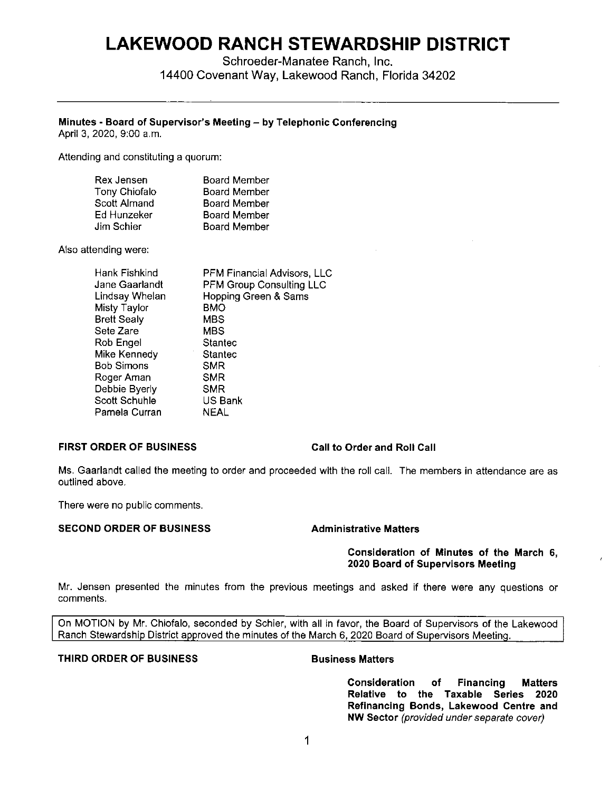# **LAKEWOOD RANCH STEWARDSHIP DISTRICT**

Schroeder-Manatee Ranch, Inc. 14400 Covenant Way, Lakewood Ranch, Florida 34202

# **Minutes - Board of Supervisor's Meeting - by Telephonic Conferencing**

April 3, 2020, 9:00 a.m.

Attending and constituting a quorum:

| Rex Jensen    | <b>Board Member</b> |
|---------------|---------------------|
| Tony Chiofalo | <b>Board Member</b> |
| Scott Almand  | <b>Board Member</b> |
| Ed Hunzeker   | Board Member        |
| Jim Schier    | <b>Board Member</b> |

Also attending were:

| Hank Fishkind      | PFM Financial Advisors, LLC     |
|--------------------|---------------------------------|
| Jane Gaarlandt     | <b>PFM Group Consulting LLC</b> |
| Lindsay Whelan     | Hopping Green & Sams            |
| Misty Taylor       | <b>BMO</b>                      |
| <b>Brett Sealy</b> | <b>MBS</b>                      |
| Sete Zare          | MBS                             |
| Rob Engel          | Stantec                         |
| Mike Kennedy       | Stantec                         |
| Bob Simons         | <b>SMR</b>                      |
| Roger Aman         | SMR                             |
| Debbie Byerly      | SMR                             |
| Scott Schuhle      | US Bank                         |
| Pamela Curran      | NEAL                            |
|                    |                                 |

# **FIRST ORDER OF BUSINESS Call to Order and Roll Call**

Ms. Gaarlandt called the meeting to order and proceeded with the roll call. The members in attendance are as outlined above.

There were no public comments.

### **SECOND ORDER OF BUSINESS Administrative Matters**

#### **Consideration of Minutes of the March 6, 2020 Board of Supervisors Meeting**

Mr. Jensen presented the minutes from the previous meetings and asked if there were any questions or comments.

On MOTION by Mr. Chiofalo, seconded by Schier, with all in favor, the Board of Supervisors of the Lakewood Ranch Stewardship District approved the minutes of the March 6, 2020 Board of Supervisors Meeting.

### **THIRD ORDER OF BUSINESS BUSINESS Business Matters**

**Consideration of Financing Matters Relative to the Taxable Series 2020 Refinancing Bonds, Lakewood Centre and NW Sector** (provided under separate cover)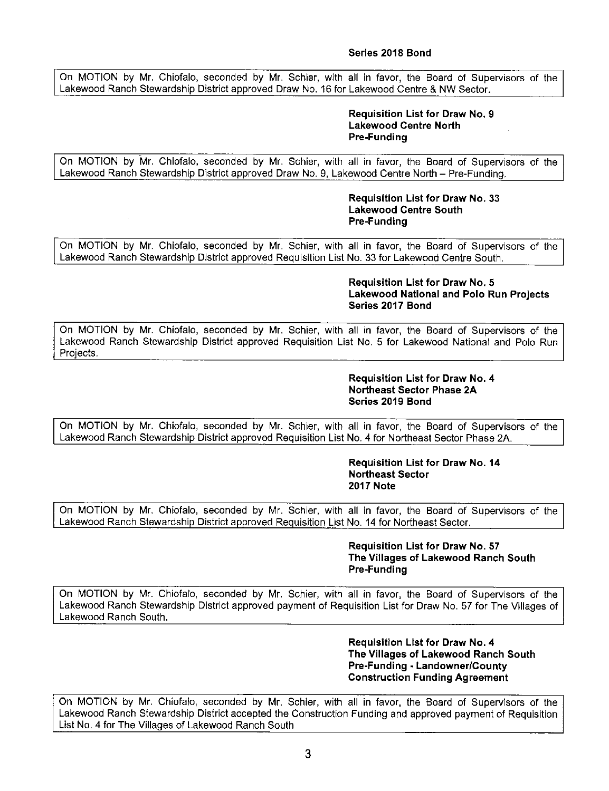### **Series 2018 Bond**

On MOTION by Mr. Chiofalo, seconded by Mr. Schier, with all in favor, the Board of Supervisors of the Lakewood Ranch Stewardship District approved Draw No. 16 for Lakewood Centre & NW Sector.

#### **Requisition List for Draw No. 9 Lakewood Centre North Pre-Funding**

On MOTION by Mr. Chiofalo, seconded by Mr. Schier, with all in favor, the Board of Supervisors of the Lakewood Ranch Stewardship District approved Draw No. 9, Lakewood Centre North - Pre-Funding.

> **Requisition List for Draw No. 33 Lakewood Centre South Pre-Funding**

On MOTION by Mr. Chiofalo, seconded by Mr. Schier, with all in favor, the Board of Supervisors of the Lakewood Ranch Stewardship District approved Requisition List No. 33 for Lakewood Centre South.

#### **Requisition List for Draw No. 5 Lakewood National and Polo Run Projects Series 2017 Bond**

On MOTION by Mr. Chiofalo, seconded by Mr. Schier, with all in favor, the Board of Supervisors of the Lakewood Ranch Stewardship District approved Requisition List No. 5 for Lakewood National and Polo Run Projects.

### **Requisition List for Draw No. 4 Northeast Sector Phase 2A Series 2019 Bond**

On MOTION by Mr. Chiofalo, seconded by Mr. Schier, with all in favor, the Board of Supervisors of the Lakewood Ranch Stewardship District approved Requisition List No. 4 for Northeast Sector Phase 2A.

#### **Requisition List for Draw No. 14 Northeast Sector 2017 Note**

On MOTION by Mr. Chiofalo, seconded by Mr. Schier, with all in favor, the Board of Supervisors of the Lakewood Ranch Stewardship District approved Requisition List No. 14 for Northeast Sector.

> **Requisition List for Draw No. 57 The Villages of Lakewood Ranch South Pre-Funding**

On MOTION by Mr. Chiofalo, seconded by Mr. Schier, with all in favor, the Board of Supervisors of the Lakewood Ranch Stewardship District approved payment of Requisition List for Draw No. 57 for The Villages of Lakewood Ranch South.

> **Requisition List for Draw No. 4 The Villages of Lakewood Ranch South Pre-Funding - Landowner/County Construction Funding Agreement**

On MOTION by Mr. Chiofalo, seconded by Mr. Schier, with all in favor, the Board of Supervisors of the Lakewood Ranch Stewardship District accepted the Construction Funding and approved payment of Requisition List No. 4 for The Villages of Lakewood Ranch South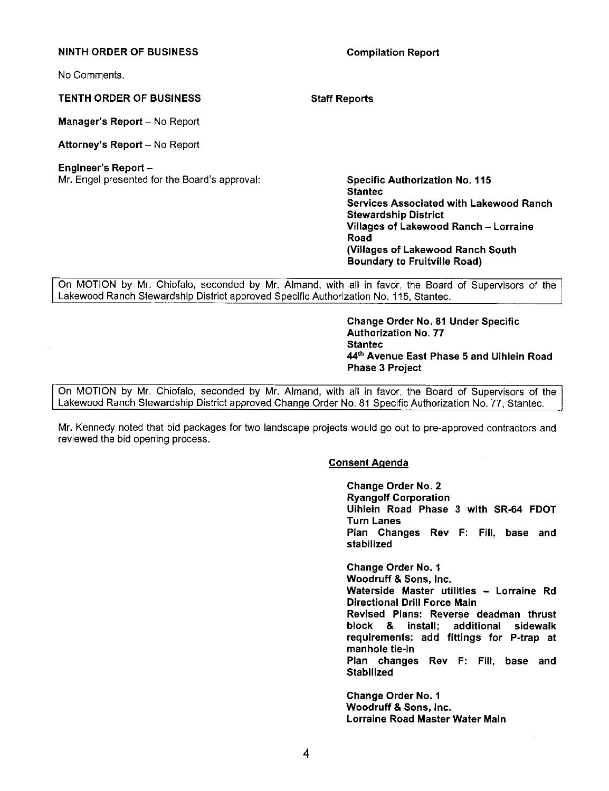#### **NINTH ORDER OF BUSINESS Compilation Report**

No Comments.

#### **TENTH ORDER OF BUSINESS Staff Reports**

**Manager's Report** - No Report

Attorney's Report - No Report

### **Engineer's Report** -

Mr. Engel presented for the Board's approval: **Specific Authorization No. 115** 

**Staniec Services Associated with Lakewood Ranch Stewardship District Villages of Lakewood Ranch** - **Lorraine Road (Villages of Lakewood Ranch South Boundary to Fruitville Road)** 

On MOTION by Mr. Chiofalo, seconded by Mr. Almand, with all in favor, the Board of Supervisors of the Lakewood Ranch Stewardship District approved Specific Authorization No. 115, Staniec.

> **Change Order No. 81 Under Specific Authorization No. 77 Staniec 44th Avenue East Phase 5 and Uihlein Road Phase 3 Project**

On MOTION by Mr. Chiofalo, seconded by Mr. Almand, with all in favor, the Board of Supervisors of the Lakewood Ranch Stewardship District approved Change Order No. 81 Specific Authorization No. 77, Stantec.

Mr. Kennedy noted that bid packages for two landscape projects would go out to pre-approved contractors and reviewed the bid opening process.

### **Consent Agenda**

**Change Order No. 2 Ryangolf Corporation**  Uihlein **Road Phase 3 with SR-64 FDOT Turn Lanes Plan Changes Rev** F: Fill, **base and stabilized** 

**Change Order No. 1 Woodruff** & **Sons, Inc. Waterside Master utilities** - **Lorraine Rd Directional Drill Force Main Revised Plans: Reverse deadman thrust block** & **install; additional sidewalk requirements: add fittings for P-trap at manhole tie-In Plan changes Rev** F: Fill, **base and Stabilized** 

**Change Order No. 1 Woodruff** & **Sons, Inc. Lorraine Road Master Water Main**